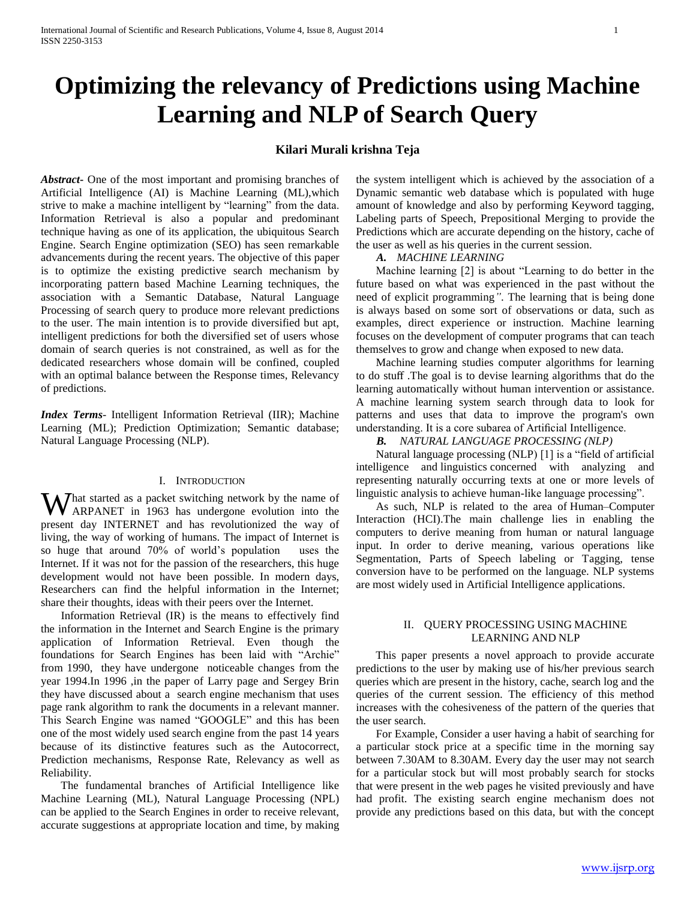# **Optimizing the relevancy of Predictions using Machine Learning and NLP of Search Query**

# **Kilari Murali krishna Teja**

*Abstract***-** One of the most important and promising branches of Artificial Intelligence (AI) is Machine Learning (ML),which strive to make a machine intelligent by "learning" from the data. Information Retrieval is also a popular and predominant technique having as one of its application, the ubiquitous Search Engine. Search Engine optimization (SEO) has seen remarkable advancements during the recent years. The objective of this paper is to optimize the existing predictive search mechanism by incorporating pattern based Machine Learning techniques, the association with a Semantic Database, Natural Language Processing of search query to produce more relevant predictions to the user. The main intention is to provide diversified but apt, intelligent predictions for both the diversified set of users whose domain of search queries is not constrained, as well as for the dedicated researchers whose domain will be confined, coupled with an optimal balance between the Response times, Relevancy of predictions.

*Index Terms*- Intelligent Information Retrieval (IIR); Machine Learning (ML); Prediction Optimization; Semantic database; Natural Language Processing (NLP).

#### I. INTRODUCTION

What started as a packet switching network by the name of ARPANET in 1963 has undergone evolution into the ARPANET in 1963 has undergone evolution into the present day INTERNET and has revolutionized the way of living, the way of working of humans. The impact of Internet is so huge that around 70% of world's population uses the Internet. If it was not for the passion of the researchers, this huge development would not have been possible. In modern days, Researchers can find the helpful information in the Internet; share their thoughts, ideas with their peers over the Internet.

 Information Retrieval (IR) is the means to effectively find the information in the Internet and Search Engine is the primary application of Information Retrieval. Even though the foundations for Search Engines has been laid with "Archie" from 1990, they have undergone noticeable changes from the year 1994.In 1996 ,in the paper of Larry page and Sergey Brin they have discussed about a search engine mechanism that uses page rank algorithm to rank the documents in a relevant manner. This Search Engine was named "GOOGLE" and this has been one of the most widely used search engine from the past 14 years because of its distinctive features such as the Autocorrect, Prediction mechanisms, Response Rate, Relevancy as well as Reliability.

 The fundamental branches of Artificial Intelligence like Machine Learning (ML), Natural Language Processing (NPL) can be applied to the Search Engines in order to receive relevant, accurate suggestions at appropriate location and time, by making

the system intelligent which is achieved by the association of a Dynamic semantic web database which is populated with huge amount of knowledge and also by performing Keyword tagging, Labeling parts of Speech, Prepositional Merging to provide the Predictions which are accurate depending on the history, cache of the user as well as his queries in the current session.

*A. MACHINE LEARNING*

 Machine learning [2] is about "Learning to do better in the future based on what was experienced in the past without the need of explicit programming*"*. The learning that is being done is always based on some sort of observations or data, such as examples, direct experience or instruction. Machine learning focuses on the development of computer programs that can teach themselves to grow and change when exposed to new data.

 Machine learning studies computer algorithms for learning to do stuff .The goal is to devise learning algorithms that do the learning automatically without human intervention or assistance. A machine learning system search through data to look for patterns and uses that data to improve the program's own understanding. It is a core subarea of Artificial Intelligence.

*B. NATURAL LANGUAGE PROCESSING (NLP)*

 Natural language processing (NLP) [1] is a "field of artificial intelligence and linguistics concerned with analyzing and representing naturally occurring texts at one or more levels of linguistic analysis to achieve human-like language processing".

 As such, NLP is related to the area of Human–Computer Interaction (HCI).The main challenge lies in enabling the computers to derive meaning from human or natural language input. In order to derive meaning, various operations like Segmentation, Parts of Speech labeling or Tagging, tense conversion have to be performed on the language. NLP systems are most widely used in Artificial Intelligence applications.

# II. QUERY PROCESSING USING MACHINE LEARNING AND NLP

 This paper presents a novel approach to provide accurate predictions to the user by making use of his/her previous search queries which are present in the history, cache, search log and the queries of the current session. The efficiency of this method increases with the cohesiveness of the pattern of the queries that the user search.

 For Example, Consider a user having a habit of searching for a particular stock price at a specific time in the morning say between 7.30AM to 8.30AM. Every day the user may not search for a particular stock but will most probably search for stocks that were present in the web pages he visited previously and have had profit. The existing search engine mechanism does not provide any predictions based on this data, but with the concept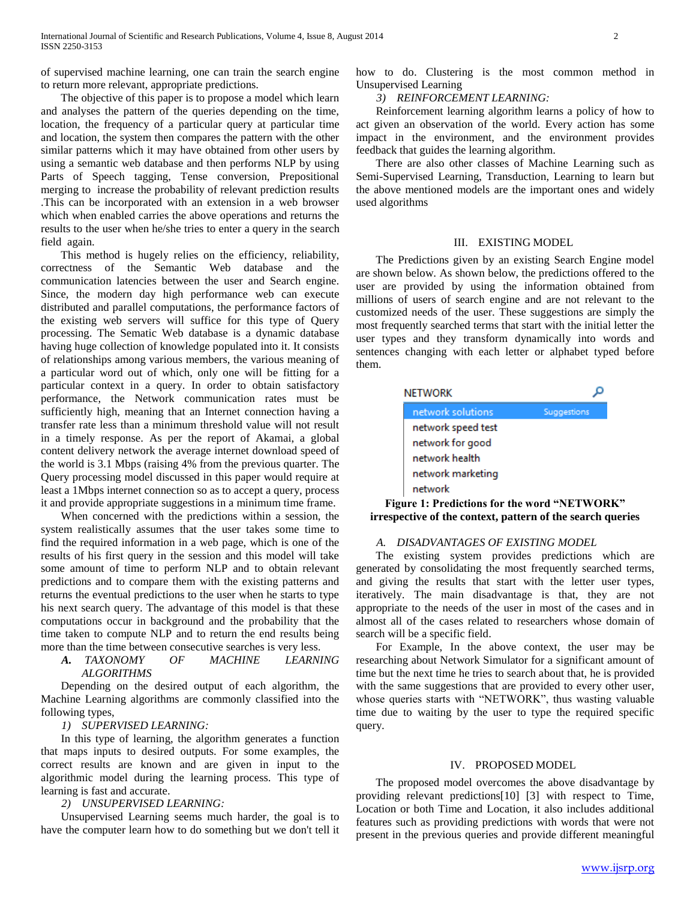of supervised machine learning, one can train the search engine to return more relevant, appropriate predictions.

 The objective of this paper is to propose a model which learn and analyses the pattern of the queries depending on the time, location, the frequency of a particular query at particular time and location, the system then compares the pattern with the other similar patterns which it may have obtained from other users by using a semantic web database and then performs NLP by using Parts of Speech tagging, Tense conversion, Prepositional merging to increase the probability of relevant prediction results .This can be incorporated with an extension in a web browser which when enabled carries the above operations and returns the results to the user when he/she tries to enter a query in the search field again.

 This method is hugely relies on the efficiency, reliability, correctness of the Semantic Web database and the communication latencies between the user and Search engine. Since, the modern day high performance web can execute distributed and parallel computations, the performance factors of the existing web servers will suffice for this type of Query processing. The Sematic Web database is a dynamic database having huge collection of knowledge populated into it. It consists of relationships among various members, the various meaning of a particular word out of which, only one will be fitting for a particular context in a query. In order to obtain satisfactory performance, the Network communication rates must be sufficiently high, meaning that an Internet connection having a transfer rate less than a minimum threshold value will not result in a timely response. As per the report of Akamai, a global content delivery network the average internet download speed of the world is 3.1 Mbps (raising 4% from the previous quarter. The Query processing model discussed in this paper would require at least a 1Mbps internet connection so as to accept a query, process it and provide appropriate suggestions in a minimum time frame.

 When concerned with the predictions within a session, the system realistically assumes that the user takes some time to find the required information in a web page, which is one of the results of his first query in the session and this model will take some amount of time to perform NLP and to obtain relevant predictions and to compare them with the existing patterns and returns the eventual predictions to the user when he starts to type his next search query. The advantage of this model is that these computations occur in background and the probability that the time taken to compute NLP and to return the end results being more than the time between consecutive searches is very less.

#### *A. TAXONOMY OF MACHINE LEARNING ALGORITHMS*

 Depending on the desired output of each algorithm, the Machine Learning algorithms are commonly classified into the following types,

#### *1) SUPERVISED LEARNING:*

 In this type of learning, the algorithm generates a function that maps inputs to desired outputs. For some examples, the correct results are known and are given in input to the algorithmic model during the learning process. This type of learning is fast and accurate.

# *2) UNSUPERVISED LEARNING:*

 Unsupervised Learning seems much harder, the goal is to have the computer learn how to do something but we don't tell it how to do. Clustering is the most common method in Unsupervised Learning

#### *3) REINFORCEMENT LEARNING:*

 Reinforcement learning algorithm learns a policy of how to act given an observation of the world. Every action has some impact in the environment, and the environment provides feedback that guides the learning algorithm.

 There are also other classes of Machine Learning such as Semi-Supervised Learning, Transduction, Learning to learn but the above mentioned models are the important ones and widely used algorithms

#### III. EXISTING MODEL

 The Predictions given by an existing Search Engine model are shown below. As shown below, the predictions offered to the user are provided by using the information obtained from millions of users of search engine and are not relevant to the customized needs of the user. These suggestions are simply the most frequently searched terms that start with the initial letter the user types and they transform dynamically into words and sentences changing with each letter or alphabet typed before them.



**Figure 1: Predictions for the word "NETWORK" irrespective of the context, pattern of the search queries**

# *A. DISADVANTAGES OF EXISTING MODEL*

 The existing system provides predictions which are generated by consolidating the most frequently searched terms, and giving the results that start with the letter user types, iteratively. The main disadvantage is that, they are not appropriate to the needs of the user in most of the cases and in almost all of the cases related to researchers whose domain of search will be a specific field.

 For Example, In the above context, the user may be researching about Network Simulator for a significant amount of time but the next time he tries to search about that, he is provided with the same suggestions that are provided to every other user, whose queries starts with "NETWORK", thus wasting valuable time due to waiting by the user to type the required specific query.

#### IV. PROPOSED MODEL

 The proposed model overcomes the above disadvantage by providing relevant predictions[10] [3] with respect to Time, Location or both Time and Location, it also includes additional features such as providing predictions with words that were not present in the previous queries and provide different meaningful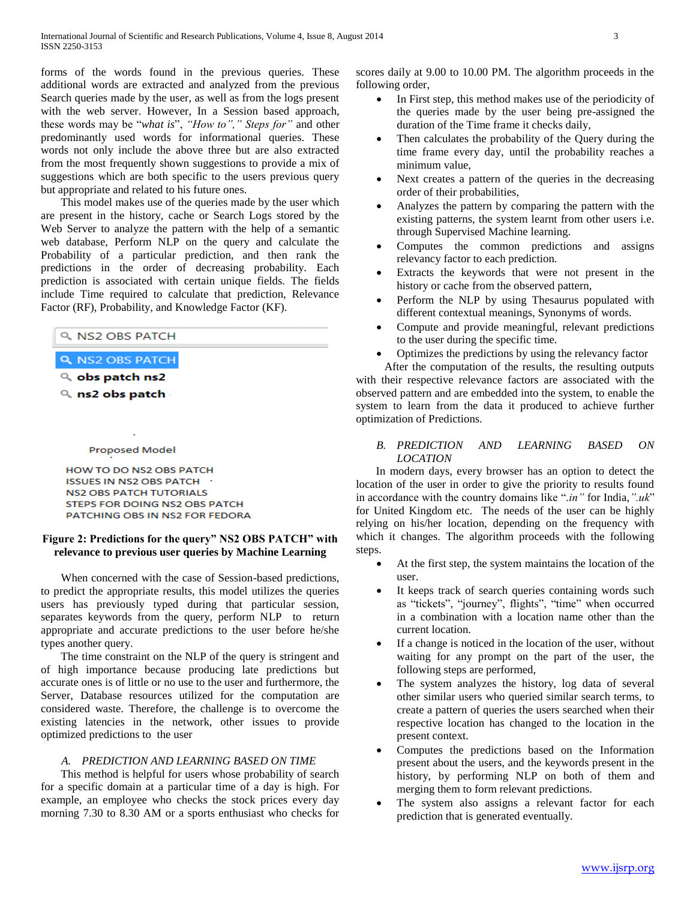forms of the words found in the previous queries. These additional words are extracted and analyzed from the previous Search queries made by the user, as well as from the logs present with the web server. However, In a Session based approach, these words may be "*what is*", *"How to"," Steps for"* and other predominantly used words for informational queries. These words not only include the above three but are also extracted from the most frequently shown suggestions to provide a mix of suggestions which are both specific to the users previous query but appropriate and related to his future ones.

 This model makes use of the queries made by the user which are present in the history, cache or Search Logs stored by the Web Server to analyze the pattern with the help of a semantic web database, Perform NLP on the query and calculate the Probability of a particular prediction, and then rank the predictions in the order of decreasing probability. Each prediction is associated with certain unique fields. The fields include Time required to calculate that prediction, Relevance Factor (RF), Probability, and Knowledge Factor (KF).

| । २. NS2 OBS PATCH |
|--------------------|
|                    |

- Q NS2 OBS PATCH
- $Q$ , obs patch ns2

Q ns2 obs patch

#### Proposed Model

HOW TO DO NS2 OBS PATCH ISSUES IN NS2 OBS PATCH **NS2 OBS PATCH TUTORIALS** STEPS FOR DOING NS2 OBS PATCH PATCHING OBS IN NS2 FOR FEDORA

# **Figure 2: Predictions for the query" NS2 OBS PATCH" with relevance to previous user queries by Machine Learning**

 When concerned with the case of Session-based predictions, to predict the appropriate results, this model utilizes the queries users has previously typed during that particular session, separates keywords from the query, perform NLP to return appropriate and accurate predictions to the user before he/she types another query.

 The time constraint on the NLP of the query is stringent and of high importance because producing late predictions but accurate ones is of little or no use to the user and furthermore, the Server, Database resources utilized for the computation are considered waste. Therefore, the challenge is to overcome the existing latencies in the network, other issues to provide optimized predictions to the user

#### *A. PREDICTION AND LEARNING BASED ON TIME*

 This method is helpful for users whose probability of search for a specific domain at a particular time of a day is high. For example, an employee who checks the stock prices every day morning 7.30 to 8.30 AM or a sports enthusiast who checks for scores daily at 9.00 to 10.00 PM. The algorithm proceeds in the following order,

- In First step, this method makes use of the periodicity of the queries made by the user being pre-assigned the duration of the Time frame it checks daily,
- Then calculates the probability of the Query during the time frame every day, until the probability reaches a minimum value,
- Next creates a pattern of the queries in the decreasing order of their probabilities,
- Analyzes the pattern by comparing the pattern with the existing patterns, the system learnt from other users i.e. through Supervised Machine learning.
- Computes the common predictions and assigns relevancy factor to each prediction.
- Extracts the keywords that were not present in the history or cache from the observed pattern,
- Perform the NLP by using Thesaurus populated with different contextual meanings, Synonyms of words.
- Compute and provide meaningful, relevant predictions to the user during the specific time.
- Optimizes the predictions by using the relevancy factor

After the computation of the results, the resulting outputs with their respective relevance factors are associated with the observed pattern and are embedded into the system, to enable the system to learn from the data it produced to achieve further optimization of Predictions.

#### *B. PREDICTION AND LEARNING BASED ON LOCATION*

 In modern days, every browser has an option to detect the location of the user in order to give the priority to results found in accordance with the country domains like ".*in"* for India,*".uk*" for United Kingdom etc. The needs of the user can be highly relying on his/her location, depending on the frequency with which it changes. The algorithm proceeds with the following steps.

- At the first step, the system maintains the location of the user.
- It keeps track of search queries containing words such as "tickets", "journey", flights", "time" when occurred in a combination with a location name other than the current location.
- If a change is noticed in the location of the user, without waiting for any prompt on the part of the user, the following steps are performed,
- The system analyzes the history, log data of several other similar users who queried similar search terms, to create a pattern of queries the users searched when their respective location has changed to the location in the present context.
- Computes the predictions based on the Information present about the users, and the keywords present in the history, by performing NLP on both of them and merging them to form relevant predictions.
- The system also assigns a relevant factor for each prediction that is generated eventually.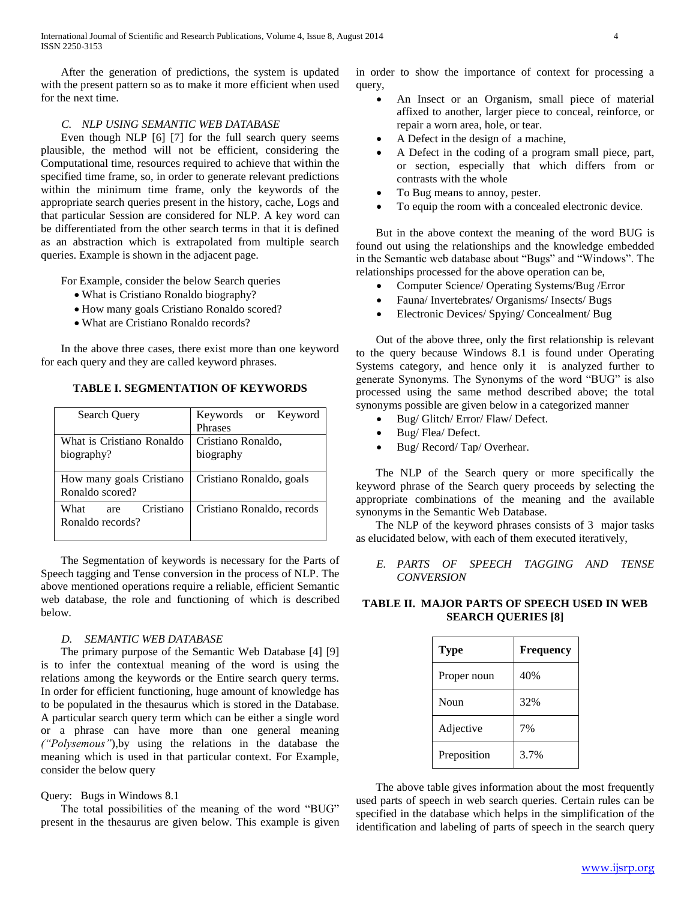After the generation of predictions, the system is updated with the present pattern so as to make it more efficient when used for the next time.

### *C. NLP USING SEMANTIC WEB DATABASE*

 Even though NLP [6] [7] for the full search query seems plausible, the method will not be efficient, considering the Computational time, resources required to achieve that within the specified time frame, so, in order to generate relevant predictions within the minimum time frame, only the keywords of the appropriate search queries present in the history, cache, Logs and that particular Session are considered for NLP. A key word can be differentiated from the other search terms in that it is defined as an abstraction which is extrapolated from multiple search queries. Example is shown in the adjacent page.

For Example, consider the below Search queries

- What is Cristiano Ronaldo biography?
- How many goals Cristiano Ronaldo scored?
- What are Cristiano Ronaldo records?

 In the above three cases, there exist more than one keyword for each query and they are called keyword phrases.

**TABLE I. SEGMENTATION OF KEYWORDS**

| Search Query                                 | Keywords or Keyword<br>Phrases  |
|----------------------------------------------|---------------------------------|
| What is Cristiano Ronaldo<br>biography?      | Cristiano Ronaldo,<br>biography |
| How many goals Cristiano<br>Ronaldo scored?  | Cristiano Ronaldo, goals        |
| Cristiano<br>What<br>are<br>Ronaldo records? | Cristiano Ronaldo, records      |

 The Segmentation of keywords is necessary for the Parts of Speech tagging and Tense conversion in the process of NLP. The above mentioned operations require a reliable, efficient Semantic web database, the role and functioning of which is described below.

#### *D. SEMANTIC WEB DATABASE*

 The primary purpose of the Semantic Web Database [4] [9] is to infer the contextual meaning of the word is using the relations among the keywords or the Entire search query terms. In order for efficient functioning, huge amount of knowledge has to be populated in the thesaurus which is stored in the Database. A particular search query term which can be either a single word or a phrase can have more than one general meaning *("Polysemous"*),by using the relations in the database the meaning which is used in that particular context. For Example, consider the below query

#### Query: Bugs in Windows 8.1

 The total possibilities of the meaning of the word "BUG" present in the thesaurus are given below. This example is given in order to show the importance of context for processing a query,

- An Insect or an Organism, small piece of material affixed to another, larger piece to conceal, reinforce, or repair a worn area, hole, or tear.
- A Defect in the design of a machine,
- A Defect in the coding of a program small piece, part, or section, especially that which differs from or contrasts with the whole
- To Bug means to annoy, pester.
- To equip the room with a concealed electronic device.

 But in the above context the meaning of the word BUG is found out using the relationships and the knowledge embedded in the Semantic web database about "Bugs" and "Windows". The relationships processed for the above operation can be,

- Computer Science/ Operating Systems/Bug /Error
- Fauna/ Invertebrates/ Organisms/ Insects/ Bugs
- Electronic Devices/ Spying/ Concealment/ Bug

 Out of the above three, only the first relationship is relevant to the query because Windows 8.1 is found under Operating Systems category, and hence only it is analyzed further to generate Synonyms. The Synonyms of the word "BUG" is also processed using the same method described above; the total synonyms possible are given below in a categorized manner

- Bug/ Glitch/ Error/ Flaw/ Defect.
- Bug/ Flea/ Defect.
- Bug/ Record/ Tap/ Overhear.

 The NLP of the Search query or more specifically the keyword phrase of the Search query proceeds by selecting the appropriate combinations of the meaning and the available synonyms in the Semantic Web Database.

 The NLP of the keyword phrases consists of 3 major tasks as elucidated below, with each of them executed iteratively,

*E. PARTS OF SPEECH TAGGING AND TENSE CONVERSION*

**TABLE II. MAJOR PARTS OF SPEECH USED IN WEB SEARCH QUERIES [8]**

| <b>Type</b> | <b>Frequency</b> |
|-------------|------------------|
| Proper noun | 40%              |
| Noun        | 32%              |
| Adjective   | 7%               |
| Preposition | 3.7%             |

 The above table gives information about the most frequently used parts of speech in web search queries. Certain rules can be specified in the database which helps in the simplification of the identification and labeling of parts of speech in the search query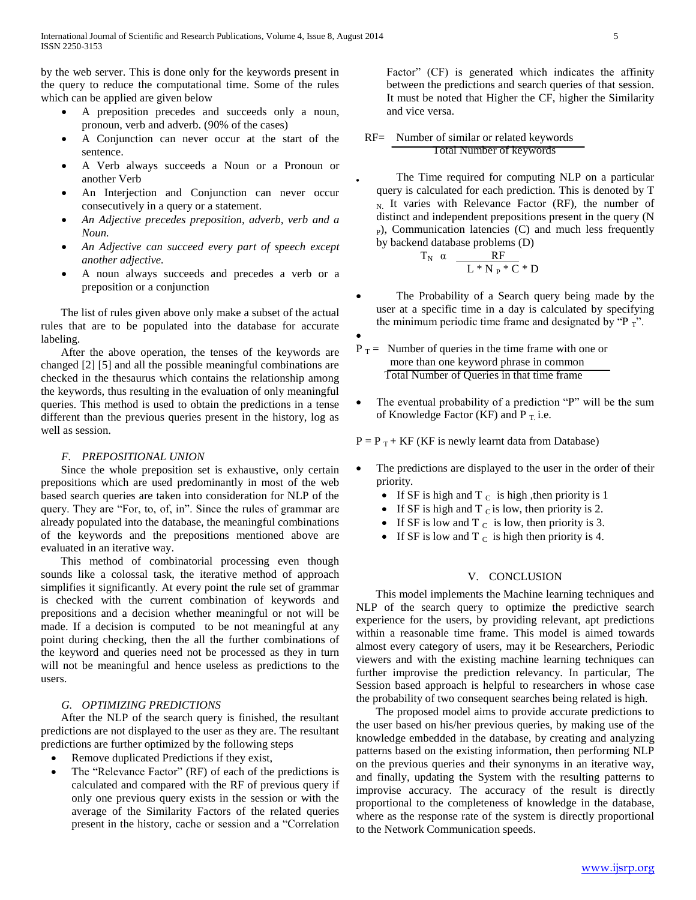by the web server. This is done only for the keywords present in the query to reduce the computational time. Some of the rules which can be applied are given below

- A preposition precedes and succeeds only a noun, pronoun, verb and adverb. (90% of the cases)
- A Conjunction can never occur at the start of the sentence.
- A Verb always succeeds a Noun or a Pronoun or another Verb
- An Interjection and Conjunction can never occur consecutively in a query or a statement.
- *An Adjective precedes preposition, adverb, verb and a Noun.*
- *An Adjective can succeed every part of speech except another adjective.*
- A noun always succeeds and precedes a verb or a preposition or a conjunction

 The list of rules given above only make a subset of the actual rules that are to be populated into the database for accurate labeling.

 After the above operation, the tenses of the keywords are changed [2] [5] and all the possible meaningful combinations are checked in the thesaurus which contains the relationship among the keywords, thus resulting in the evaluation of only meaningful queries. This method is used to obtain the predictions in a tense different than the previous queries present in the history, log as well as session.

#### *F. PREPOSITIONAL UNION*

 Since the whole preposition set is exhaustive, only certain prepositions which are used predominantly in most of the web based search queries are taken into consideration for NLP of the query. They are "For, to, of, in". Since the rules of grammar are already populated into the database, the meaningful combinations of the keywords and the prepositions mentioned above are evaluated in an iterative way.

 This method of combinatorial processing even though sounds like a colossal task, the iterative method of approach simplifies it significantly. At every point the rule set of grammar is checked with the current combination of keywords and prepositions and a decision whether meaningful or not will be made. If a decision is computed to be not meaningful at any point during checking, then the all the further combinations of the keyword and queries need not be processed as they in turn will not be meaningful and hence useless as predictions to the users.

#### *G. OPTIMIZING PREDICTIONS*

 After the NLP of the search query is finished, the resultant predictions are not displayed to the user as they are. The resultant predictions are further optimized by the following steps

- Remove duplicated Predictions if they exist,
- The "Relevance Factor" (RF) of each of the predictions is calculated and compared with the RF of previous query if only one previous query exists in the session or with the average of the Similarity Factors of the related queries present in the history, cache or session and a "Correlation

Factor" (CF) is generated which indicates the affinity between the predictions and search queries of that session. It must be noted that Higher the CF, higher the Similarity and vice versa.

 RF= Number of similar or related keywords Total Number of keywords

 The Time required for computing NLP on a particular query is calculated for each prediction. This is denoted by T  $_{N}$  It varies with Relevance Factor (RF), the number of distinct and independent prepositions present in the query (N  $_{\rm P}$ ), Communication latencies (C) and much less frequently by backend database problems (D)

$$
T_N \alpha \frac{RF}{L*N_P*C*D}
$$

- The Probability of a Search query being made by the user at a specific time in a day is calculated by specifying the minimum periodic time frame and designated by "P $_T$ ".
- $\bullet$

 $\bullet$ 

- $P_T$  = Number of queries in the time frame with one or more than one keyword phrase in common Total Number of Queries in that time frame
- The eventual probability of a prediction "P" will be the sum of Knowledge Factor (KF) and  $P_T$  i.e.

 $P = P_T + KF$  (KF is newly learnt data from Database)

- The predictions are displayed to the user in the order of their priority.
	- If SF is high and T  $<sub>C</sub>$  is high, then priority is 1</sub>
	- If SF is high and T  $<sub>C</sub>$  is low, then priority is 2.</sub>
	- If SF is low and T  $<sub>C</sub>$  is low, then priority is 3.</sub>
	- If SF is low and T  $_C$  is high then priority is 4.

#### V. CONCLUSION

 This model implements the Machine learning techniques and NLP of the search query to optimize the predictive search experience for the users, by providing relevant, apt predictions within a reasonable time frame. This model is aimed towards almost every category of users, may it be Researchers, Periodic viewers and with the existing machine learning techniques can further improvise the prediction relevancy. In particular, The Session based approach is helpful to researchers in whose case the probability of two consequent searches being related is high.

 The proposed model aims to provide accurate predictions to the user based on his/her previous queries, by making use of the knowledge embedded in the database, by creating and analyzing patterns based on the existing information, then performing NLP on the previous queries and their synonyms in an iterative way, and finally, updating the System with the resulting patterns to improvise accuracy. The accuracy of the result is directly proportional to the completeness of knowledge in the database, where as the response rate of the system is directly proportional to the Network Communication speeds.